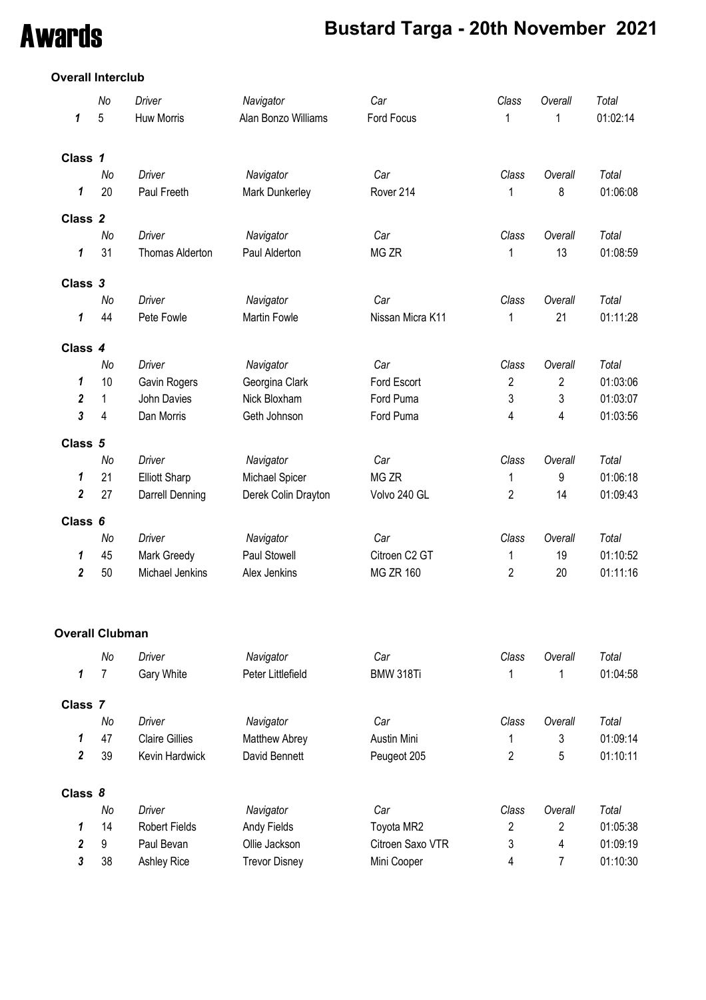# Awards **Bustard Targa - 20th November 2021**

## **Overall Interclub**

|                    | No                     | Driver                 | Navigator                  | Car              | Class          | Overall        | Total    |
|--------------------|------------------------|------------------------|----------------------------|------------------|----------------|----------------|----------|
| 1                  | 5                      | Huw Morris             | Alan Bonzo Williams        | Ford Focus       | 1              | 1              | 01:02:14 |
|                    |                        |                        |                            |                  |                |                |          |
| Class 1            |                        |                        |                            |                  |                |                |          |
|                    | No                     | <b>Driver</b>          | Navigator                  | Car              | Class          | Overall        | Total    |
| 1                  | 20                     | Paul Freeth            | Mark Dunkerley             | Rover 214        | 1              | 8              | 01:06:08 |
|                    |                        |                        |                            |                  |                |                |          |
| Class <sub>2</sub> | No                     | <b>Driver</b>          |                            | Car              | Class          | Overall        | Total    |
| 1                  | 31                     | <b>Thomas Alderton</b> | Navigator<br>Paul Alderton | MG ZR            | 1              | 13             | 01:08:59 |
|                    |                        |                        |                            |                  |                |                |          |
| Class 3            |                        |                        |                            |                  |                |                |          |
|                    | No                     | Driver                 | Navigator                  | Car              | Class          | Overall        | Total    |
| 1                  | 44                     | Pete Fowle             | <b>Martin Fowle</b>        | Nissan Micra K11 | 1              | 21             | 01:11:28 |
|                    |                        |                        |                            |                  |                |                |          |
| Class 4            |                        |                        |                            |                  |                |                |          |
|                    | No                     | Driver                 | Navigator                  | Car              | Class          | Overall        | Total    |
| 1                  | 10                     | Gavin Rogers           | Georgina Clark             | Ford Escort      | $\overline{2}$ | $\overline{2}$ | 01:03:06 |
| 2                  | 1                      | John Davies            | Nick Bloxham               | Ford Puma        | 3              | 3              | 01:03:07 |
| 3                  | 4                      | Dan Morris             | Geth Johnson               | Ford Puma        | 4              | 4              | 01:03:56 |
| Class 5            |                        |                        |                            |                  |                |                |          |
|                    | No                     | <b>Driver</b>          | Navigator                  | Car              | Class          | Overall        | Total    |
| 1                  | 21                     | <b>Elliott Sharp</b>   | Michael Spicer             | MG ZR            | 1              | 9              | 01:06:18 |
| $\boldsymbol{2}$   | 27                     | Darrell Denning        | Derek Colin Drayton        | Volvo 240 GL     | $\overline{2}$ | 14             | 01:09:43 |
| Class 6            |                        |                        |                            |                  |                |                |          |
|                    | No                     | <b>Driver</b>          | Navigator                  | Car              | Class          | Overall        | Total    |
| 1                  | 45                     | Mark Greedy            | Paul Stowell               | Citroen C2 GT    | 1              | 19             | 01:10:52 |
| $\boldsymbol{2}$   | 50                     | Michael Jenkins        | Alex Jenkins               | <b>MG ZR 160</b> | $\overline{2}$ | 20             | 01:11:16 |
|                    |                        |                        |                            |                  |                |                |          |
|                    | <b>Overall Clubman</b> |                        |                            |                  |                |                |          |
|                    | No                     | Driver                 | Navigator                  | Car              | Class          | Overall        | Total    |
| 1                  | 7                      | Gary White             | Peter Littlefield          | BMW 318Ti        | 1              | 1              | 01:04:58 |
| Class 7            |                        |                        |                            |                  |                |                |          |
|                    | No                     | Driver                 | Navigator                  | Car              | Class          | Overall        | Total    |
| 1                  | 47                     | <b>Claire Gillies</b>  | Matthew Abrey              | Austin Mini      | 1              | 3              | 01:09:14 |
| $\boldsymbol{2}$   | 39                     | Kevin Hardwick         | David Bennett              | Peugeot 205      | $\overline{c}$ | 5              | 01:10:11 |
|                    |                        |                        |                            |                  |                |                |          |
| Class 8            |                        |                        |                            |                  |                |                |          |
|                    | No                     | <b>Driver</b>          | Navigator                  | Car              | Class          | Overall        | Total    |
| 1                  | 14                     | Robert Fields          | Andy Fields                | Toyota MR2       | 2              | $\overline{2}$ | 01:05:38 |
| 2                  | 9                      | Paul Bevan             | Ollie Jackson              | Citroen Saxo VTR | 3              | 4              | 01:09:19 |

**3** 38 Ashley Rice Trevor Disney Mini Cooper 4 7 01:10:30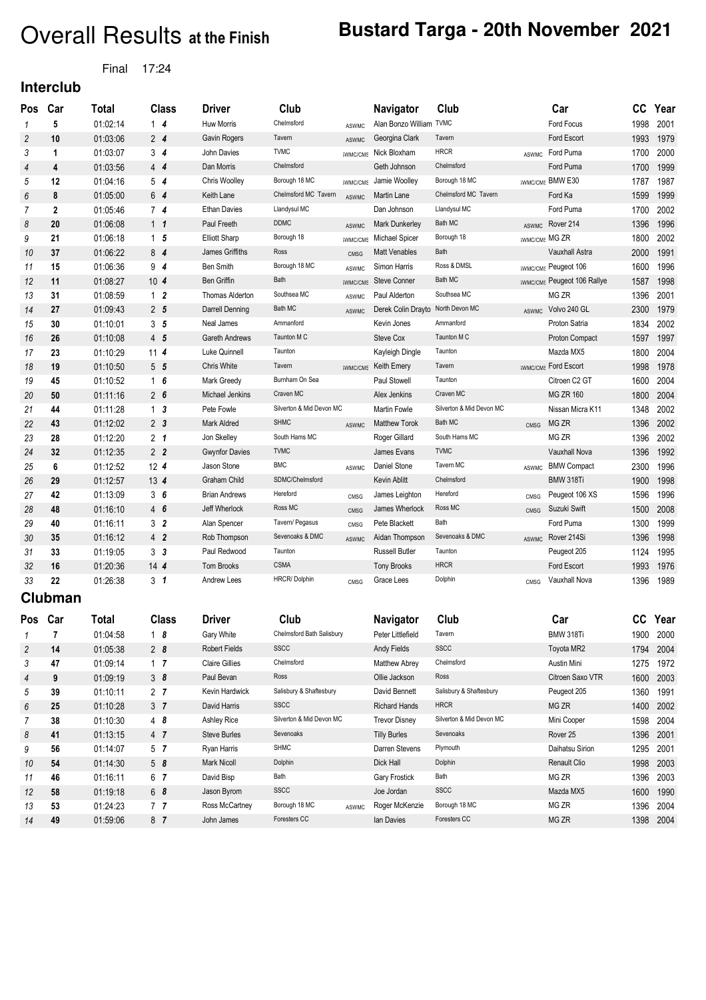# Overall Results at the Finish **Bustard Targa - 20th November 2021**

## Final 17:24

**Interclub**

| Pos            | Car          | <b>Total</b> | <b>Class</b>    | <b>Driver</b>          | Club                     |                 | <b>Navigator</b>                  | Club                     |                              | Car                                             | cc   | Year |
|----------------|--------------|--------------|-----------------|------------------------|--------------------------|-----------------|-----------------------------------|--------------------------|------------------------------|-------------------------------------------------|------|------|
| 1              | 5            | 01:02:14     | $1\quad 4$      | <b>Huw Morris</b>      | Chelmsford               | <b>ASWMC</b>    | Alan Bonzo William TVMC           |                          |                              | Ford Focus                                      | 1998 | 2001 |
| $\overline{c}$ | 10           | 01:03:06     | $2\overline{4}$ | Gavin Rogers           | Tavern                   | <b>ASWMC</b>    | Georgina Clark                    | Tavern                   |                              | Ford Escort                                     | 1993 | 1979 |
| 3              | 1            | 01:03:07     | 3 <sub>4</sub>  | John Davies            | <b>TVMC</b>              |                 | <b>SWMC/CMS</b> Nick Bloxham      | <b>HRCR</b>              | <b>ASWMC</b>                 | Ford Puma                                       | 1700 | 2000 |
| 4              | 4            | 01:03:56     | $4\overline{4}$ | Dan Morris             | Chelmsford               |                 | Geth Johnson                      | Chelmsford               |                              | Ford Puma                                       | 1700 | 1999 |
| 5              | 12           | 01:04:16     | 5 <sub>4</sub>  | Chris Woolley          | Borough 18 MC            | <b>SWMC/CMS</b> | Jamie Woolley                     | Borough 18 MC            |                              | <b>IWMC/CMS BMW E30</b>                         | 1787 | 1987 |
| 6              | 8            | 01:05:00     | 64              | Keith Lane             | Chelmsford MC Tavern     | <b>ASWMC</b>    | Martin Lane                       | Chelmsford MC Tavern     |                              | Ford Ka                                         | 1599 | 1999 |
| 7              | $\mathbf{2}$ | 01:05:46     | 7 <sub>4</sub>  | <b>Ethan Davies</b>    | Llandysul MC             |                 | Dan Johnson                       | Llandysul MC             |                              | Ford Puma                                       | 1700 | 2002 |
| 8              | 20           | 01:06:08     | $1\quad1$       | Paul Freeth            | <b>DDMC</b>              | <b>ASWMC</b>    | Mark Dunkerley                    | Bath MC                  |                              | ASWMC Rover 214                                 | 1396 | 1996 |
| 9              | 21           | 01:06:18     | 1 <sub>5</sub>  | <b>Elliott Sharp</b>   | Borough 18               | <b>SWMC/CMS</b> | Michael Spicer                    | Borough 18               | <b><i>IWMC/CMS MG ZR</i></b> |                                                 | 1800 | 2002 |
| 10             | 37           | 01:06:22     | 84              | James Griffiths        | Ross                     | CMSG            | <b>Matt Venables</b>              | Bath                     |                              | <b>Vauxhall Astra</b>                           | 2000 | 1991 |
| 11             | 15           | 01:06:36     | 94              | Ben Smith              | Borough 18 MC            | <b>ASWMC</b>    | Simon Harris                      | Ross & DMSL              |                              | <b>WMC/CMS</b> Peugeot 106                      | 1600 | 1996 |
| 12             | 11           | 01:08:27     | $10 \t{4}$      | Ben Griffin            | Bath                     |                 | <b>SWMC/CMS</b> Steve Conner      | Bath MC                  |                              | <b><i><u>WMC/CMS</u></i></b> Peugeot 106 Rallye | 1587 | 1998 |
| 13             | 31           | 01:08:59     | 1 <sub>2</sub>  | <b>Thomas Alderton</b> | Southsea MC              | <b>ASWMC</b>    | Paul Alderton                     | Southsea MC              |                              | MG <sub>ZR</sub>                                | 1396 | 2001 |
| 14             | 27           | 01:09:43     | 2 <sub>5</sub>  | Darrell Denning        | Bath MC                  | ASWMC           | Derek Colin Drayto North Devon MC |                          |                              | ASWMC Volvo 240 GL                              | 2300 | 1979 |
| 15             | 30           | 01:10:01     | 3 <sub>5</sub>  | Neal James             | Ammanford                |                 | Kevin Jones                       | Ammanford                |                              | Proton Satria                                   | 1834 | 2002 |
| 16             | 26           | 01:10:08     | 4 5             | <b>Gareth Andrews</b>  | Taunton M C              |                 | Steve Cox                         | Taunton M C              |                              | Proton Compact                                  | 1597 | 1997 |
| 17             | 23           | 01:10:29     | 11 <sub>4</sub> | Luke Quinnell          | Taunton                  |                 | Kayleigh Dingle                   | Taunton                  |                              | Mazda MX5                                       | 1800 | 2004 |
| 18             | 19           | 01:10:50     | $5\quad 5$      | Chris White            | Tavern                   |                 | SWMC/CMS Keith Emery              | Tavern                   |                              | <b>WMC/CMS</b> Ford Escort                      | 1998 | 1978 |
| 19             | 45           | 01:10:52     | $1\quad6$       | Mark Greedy            | Burnham On Sea           |                 | Paul Stowell                      | Taunton                  |                              | Citroen C2 GT                                   | 1600 | 2004 |
| 20             | 50           | 01:11:16     | $2 \quad 6$     | Michael Jenkins        | Craven MC                |                 | Alex Jenkins                      | Craven MC                |                              | <b>MG ZR 160</b>                                | 1800 | 2004 |
| 21             | 44           | 01:11:28     | 1 <sub>3</sub>  | Pete Fowle             | Silverton & Mid Devon MC |                 | Martin Fowle                      | Silverton & Mid Devon MC |                              | Nissan Micra K11                                | 1348 | 2002 |
| 22             | 43           | 01:12:02     | 2 <sub>3</sub>  | Mark Aldred            | <b>SHMC</b>              | <b>ASWMC</b>    | <b>Matthew Torok</b>              | Bath MC                  | <b>CMSG</b>                  | MG ZR                                           | 1396 | 2002 |
| 23             | 28           | 01:12:20     | 2 <sub>1</sub>  | Jon Skelley            | South Hams MC            |                 | Roger Gillard                     | South Hams MC            |                              | MG ZR                                           | 1396 | 2002 |
| 24             | 32           | 01:12:35     | 2 <sub>2</sub>  | <b>Gwynfor Davies</b>  | <b>TVMC</b>              |                 | James Evans                       | <b>TVMC</b>              |                              | Vauxhall Nova                                   | 1396 | 1992 |
| 25             | 6            | 01:12:52     | 12 <sub>4</sub> | Jason Stone            | <b>BMC</b>               | <b>ASWMC</b>    | Daniel Stone                      | Tavern MC                | <b>ASWMC</b>                 | <b>BMW Compact</b>                              | 2300 | 1996 |
| 26             | 29           | 01:12:57     | $13 \; 4$       | <b>Graham Child</b>    | SDMC/Chelmsford          |                 | Kevin Ablitt                      | Chelmsford               |                              | BMW 318Ti                                       | 1900 | 1998 |
| 27             | 42           | 01:13:09     | 36              | <b>Brian Andrews</b>   | Hereford                 | CMSG            | James Leighton                    | Hereford                 | CMSG                         | Peugeot 106 XS                                  | 1596 | 1996 |
| 28             | 48           | 01:16:10     | 46              | Jeff Wherlock          | Ross MC                  | <b>CMSG</b>     | James Wherlock                    | Ross MC                  | <b>CMSG</b>                  | Suzuki Swift                                    | 1500 | 2008 |
| 29             | 40           | 01:16:11     | 3 <sup>2</sup>  | Alan Spencer           | Tavern/ Pegasus          | CMSG            | Pete Blackett                     | Bath                     |                              | Ford Puma                                       | 1300 | 1999 |
| 30             | 35           | 01:16:12     | 4 <sub>2</sub>  | Rob Thompson           | Sevenoaks & DMC          | <b>ASWMC</b>    | Aidan Thompson                    | Sevenoaks & DMC          |                              | ASWMC Rover 214Si                               | 1396 | 1998 |
| 31             | 33           | 01:19:05     | 3 <sup>3</sup>  | Paul Redwood           | Taunton                  |                 | <b>Russell Butler</b>             | Taunton                  |                              | Peugeot 205                                     | 1124 | 1995 |
| 32             | 16           | 01:20:36     | 144             | Tom Brooks             | <b>CSMA</b>              |                 | <b>Tony Brooks</b>                | <b>HRCR</b>              |                              | Ford Escort                                     | 1993 | 1976 |
| 33             | 22           | 01:26:38     | 3 <sub>1</sub>  | Andrew Lees            | HRCR/Dolphin             | CMSG            | Grace Lees                        | Dolphin                  | CMSG                         | Vauxhall Nova                                   | 1396 | 1989 |
|                | Clubman      |              |                 |                        |                          |                 |                                   |                          |                              |                                                 |      |      |

| <b>Pos</b> | Car | Total    | <b>Class</b>   | <b>Driver</b>         | Club                      | <b>Navigator</b>        | Club                     | Car                 | CC   | Year |
|------------|-----|----------|----------------|-----------------------|---------------------------|-------------------------|--------------------------|---------------------|------|------|
|            |     | 01:04:58 | $1\quad 8$     | Gary White            | Chelmsford Bath Salisbury | Peter Littlefield       | Tavern                   | BMW 318Ti           | 1900 | 2000 |
| 2          | 14  | 01:05:38 | 28             | <b>Robert Fields</b>  | <b>SSCC</b>               | Andy Fields             | <b>SSCC</b>              | Toyota MR2          | 1794 | 2004 |
| 3          | 47  | 01:09:14 | 1 <sub>7</sub> | <b>Claire Gillies</b> | Chelmsford                | Matthew Abrey           | Chelmsford               | Austin Mini         | 1275 | 1972 |
| 4          | 9   | 01:09:19 | 38             | Paul Bevan            | Ross                      | Ollie Jackson           | Ross                     | Citroen Saxo VTR    | 1600 | 2003 |
| 5          | 39  | 01:10:11 | 2 <sub>7</sub> | Kevin Hardwick        | Salisbury & Shaftesbury   | David Bennett           | Salisbury & Shaftesbury  | Peugeot 205         | 1360 | 1991 |
| 6          | 25  | 01:10:28 | 3 <sub>7</sub> | David Harris          | <b>SSCC</b>               | <b>Richard Hands</b>    | <b>HRCR</b>              | MG ZR               | 1400 | 2002 |
|            | 38  | 01:10:30 | 48             | <b>Ashley Rice</b>    | Silverton & Mid Devon MC  | <b>Trevor Disney</b>    | Silverton & Mid Devon MC | Mini Cooper         | 1598 | 2004 |
| 8          | 41  | 01:13:15 | 4 <sub>7</sub> | <b>Steve Burles</b>   | Sevenoaks                 | <b>Tilly Burles</b>     | Sevenoaks                | Rover <sub>25</sub> | 1396 | 2001 |
| 9          | 56  | 01:14:07 | 5 <sub>7</sub> | Ryan Harris           | <b>SHMC</b>               | Darren Stevens          | Plymouth                 | Daihatsu Sirion     | 1295 | 2001 |
| 10         | 54  | 01:14:30 | 58             | <b>Mark Nicoll</b>    | Dolphin                   | Dick Hall               | Dolphin                  | Renault Clio        | 1998 | 2003 |
| 11         | 46  | 01:16:11 | 6 7            | David Bisp            | Bath                      | <b>Gary Frostick</b>    | Bath                     | MG ZR               | 1396 | 2003 |
| 12         | 58  | 01:19:18 | 68             | Jason Byrom           | <b>SSCC</b>               | Joe Jordan              | <b>SSCC</b>              | Mazda MX5           | 1600 | 1990 |
| 13         | 53  | 01:24:23 | 7 <sub>7</sub> | Ross McCartney        | Borough 18 MC             | Roger McKenzie<br>ASWMC | Borough 18 MC            | MG ZR               | 1396 | 2004 |
| 14         | 49  | 01:59:06 | 8 7            | John James            | Foresters CC              | lan Davies              | Foresters CC             | MG ZR               | 1398 | 2004 |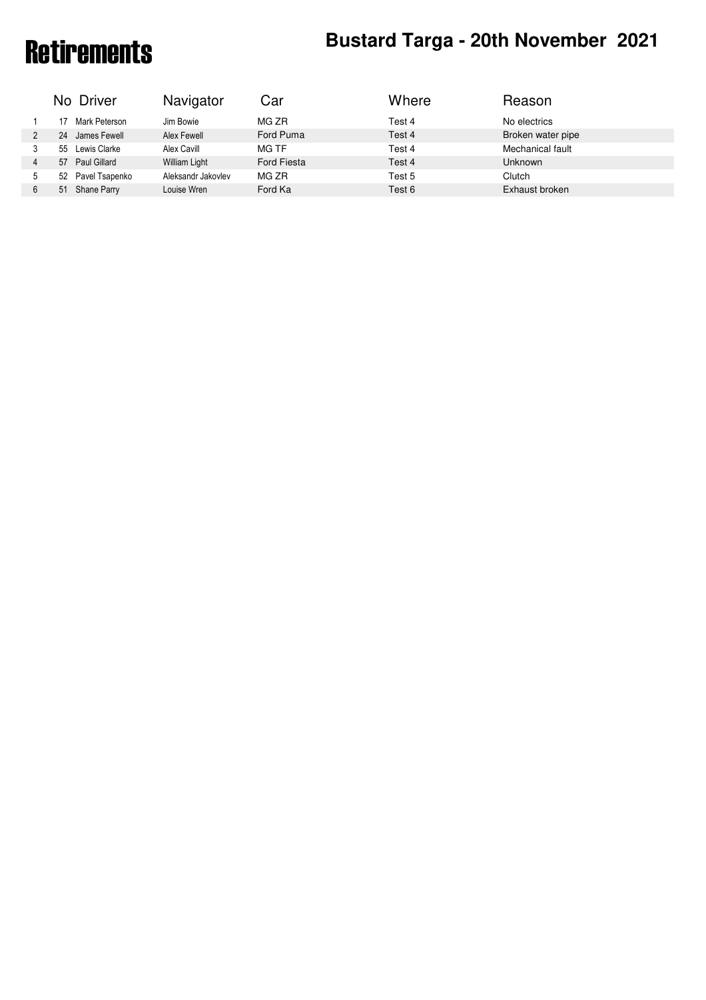# Retirements **Bustard Targa - 20th November 2021**

| Where<br>No Driver<br>Navigator<br>Car<br>Reason                                           |  |
|--------------------------------------------------------------------------------------------|--|
| MG ZR<br>No electrics<br>Test 4<br>Mark Peterson<br>Jim Bowie                              |  |
| Broken water pipe<br>Ford Puma<br>James Fewell<br>Alex Fewell<br>Test 4<br>24<br>2         |  |
| Mechanical fault<br>Lewis Clarke<br>MG TF<br>Alex Cavill<br>Test 4<br>55<br>3              |  |
| Ford Fiesta<br>Test 4<br><b>Unknown</b><br><b>William Light</b><br>Paul Gillard<br>57<br>4 |  |
| Aleksandr Jakovlev<br>Pavel Tsapenko<br>MG ZR<br>Clutch<br>Test 5<br>52<br>5               |  |
| Ford Ka<br>Exhaust broken<br>Louise Wren<br>Shane Parry<br>Test 6<br>51<br>6               |  |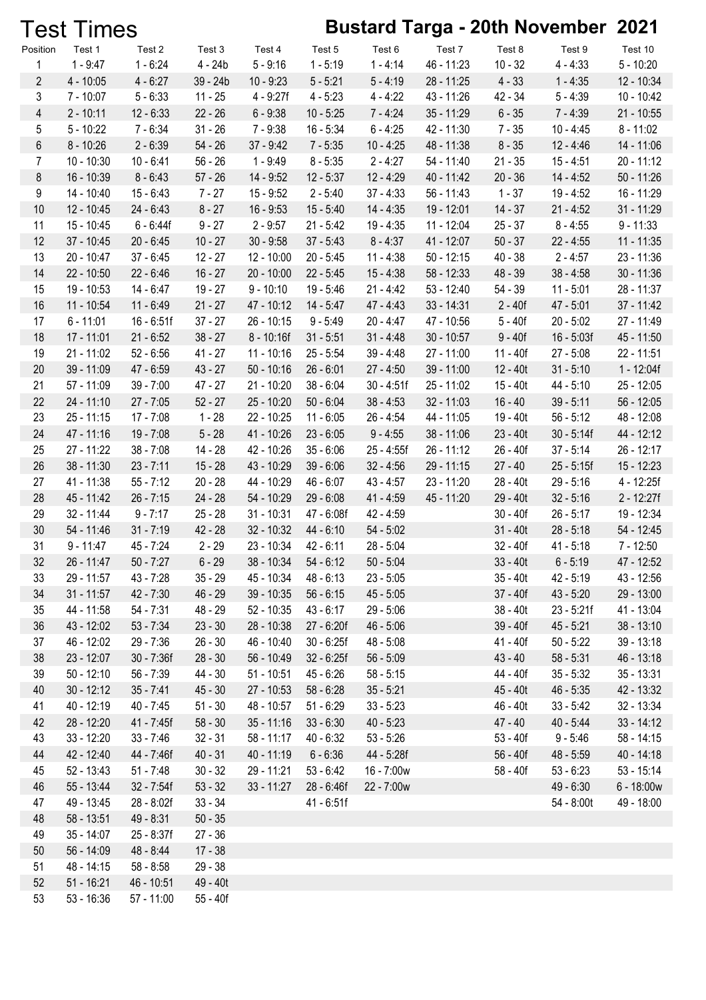|                | <b>Test Times</b> |              |           |                          |              |              |              |            | <b>Bustard Targa - 20th November 2021</b> |              |
|----------------|-------------------|--------------|-----------|--------------------------|--------------|--------------|--------------|------------|-------------------------------------------|--------------|
| Position       | Test 1            | Test 2       | Test 3    | Test 4                   | Test 5       | Test 6       | Test 7       | Test 8     | Test 9                                    | Test 10      |
| 1              | $1 - 9:47$        | $1 - 6:24$   | $4 - 24b$ | $5 - 9:16$               | $1 - 5:19$   | $1 - 4:14$   | 46 - 11:23   | $10 - 32$  | $4 - 4:33$                                | $5 - 10:20$  |
| $\overline{2}$ | $4 - 10:05$       | $4 - 6:27$   | 39 - 24b  | $10 - 9:23$              | $5 - 5:21$   | $5 - 4:19$   | 28 - 11:25   | $4 - 33$   | $1 - 4:35$                                | 12 - 10:34   |
| 3              | $7 - 10:07$       | $5 - 6:33$   | $11 - 25$ | $4 - 9:27f$              | $4 - 5:23$   | $4 - 4:22$   | 43 - 11:26   | 42 - 34    | $5 - 4:39$                                | $10 - 10:42$ |
| $\overline{4}$ | $2 - 10:11$       | $12 - 6:33$  | $22 - 26$ | $6 - 9:38$               | $10 - 5:25$  | $7 - 4:24$   | $35 - 11:29$ | $6 - 35$   | $7 - 4:39$                                | $21 - 10:55$ |
| 5              | $5 - 10:22$       | $7 - 6:34$   | $31 - 26$ | $7 - 9:38$               | $16 - 5:34$  | $6 - 4:25$   | 42 - 11:30   | $7 - 35$   | $10 - 4:45$                               | $8 - 11:02$  |
| 6              | $8 - 10:26$       | $2 - 6:39$   | $54 - 26$ | $37 - 9:42$              | $7 - 5:35$   | $10 - 4:25$  | 48 - 11:38   | $8 - 35$   | $12 - 4:46$                               | 14 - 11:06   |
| 7              | $10 - 10:30$      | $10 - 6:41$  | $56 - 26$ | $1 - 9:49$               | $8 - 5:35$   | $2 - 4:27$   | 54 - 11:40   | $21 - 35$  | $15 - 4:51$                               | $20 - 11:12$ |
| 8              | 16 - 10:39        | $8 - 6:43$   | $57 - 26$ | 14 - 9:52                | $12 - 5:37$  | $12 - 4:29$  | 40 - 11:42   | $20 - 36$  | $14 - 4:52$                               | $50 - 11:26$ |
| 9              | 14 - 10:40        | $15 - 6:43$  | $7 - 27$  | $15 - 9:52$              | $2 - 5:40$   | $37 - 4:33$  | $56 - 11:43$ | $1 - 37$   | $19 - 4:52$                               | 16 - 11:29   |
| 10             | 12 - 10:45        | $24 - 6:43$  | $8 - 27$  | $16 - 9:53$              | $15 - 5:40$  | $14 - 4:35$  | 19 - 12:01   | $14 - 37$  | $21 - 4:52$                               | 31 - 11:29   |
| 11             | 15 - 10:45        | $6 - 6:44f$  | $9 - 27$  | $2 - 9:57$               | $21 - 5:42$  | $19 - 4:35$  | 11 - 12:04   | $25 - 37$  | $8 - 4:55$                                | $9 - 11:33$  |
| 12             | $37 - 10:45$      | $20 - 6:45$  | $10 - 27$ | $30 - 9:58$              | $37 - 5:43$  | $8 - 4:37$   | $41 - 12:07$ | $50 - 37$  | $22 - 4:55$                               | $11 - 11:35$ |
| 13             | 20 - 10:47        | $37 - 6:45$  | $12 - 27$ | $12 - 10:00$             | $20 - 5:45$  | $11 - 4:38$  | $50 - 12:15$ | $40 - 38$  | $2 - 4:57$                                | 23 - 11:36   |
| 14             | 22 - 10:50        | $22 - 6:46$  | $16 - 27$ | $20 - 10:00$             | $22 - 5:45$  | $15 - 4:38$  | $58 - 12:33$ | $48 - 39$  | $38 - 4:58$                               | $30 - 11:36$ |
| 15             | 19 - 10:53        | 14 - 6:47    | $19 - 27$ | $9 - 10:10$              | $19 - 5:46$  | $21 - 4:42$  | $53 - 12:40$ | $54 - 39$  | $11 - 5:01$                               | 28 - 11:37   |
| 16             | 11 - 10:54        | $11 - 6:49$  | $21 - 27$ | 47 - 10:12               | $14 - 5:47$  | $47 - 4:43$  | $33 - 14:31$ | $2 - 40f$  | $47 - 5:01$                               | $37 - 11:42$ |
| 17             | $6 - 11:01$       | $16 - 6:51f$ | $37 - 27$ | $26 - 10:15$             | $9 - 5:49$   | $20 - 4:47$  | 47 - 10:56   | $5 - 40f$  | $20 - 5:02$                               | 27 - 11:49   |
| 18             | 17 - 11:01        | $21 - 6:52$  | $38 - 27$ | $8 - 10:16f$             | $31 - 5:51$  | $31 - 4:48$  | $30 - 10:57$ | $9 - 40f$  | $16 - 5:03f$                              | 45 - 11:50   |
| 19             | $21 - 11:02$      | $52 - 6:56$  | $41 - 27$ | $11 - 10:16$             | $25 - 5:54$  | $39 - 4:48$  | 27 - 11:00   | 11 - 40f   | $27 - 5:08$                               | $22 - 11:51$ |
| 20             | 39 - 11:09        | 47 - 6:59    | $43 - 27$ | $50 - 10:16$             | $26 - 6:01$  | $27 - 4:50$  | $39 - 11:00$ | $12 - 40t$ | $31 - 5:10$                               | 1 - 12:04f   |
| 21             | 57 - 11:09        | $39 - 7:00$  | 47 - 27   | $21 - 10:20$             | $38 - 6:04$  | $30 - 4:51f$ | 25 - 11:02   | $15 - 40t$ | 44 - 5:10                                 | $25 - 12:05$ |
| 22             | 24 - 11:10        | $27 - 7:05$  | $52 - 27$ | 25 - 10:20               | $50 - 6:04$  | $38 - 4:53$  | $32 - 11:03$ | $16 - 40$  | $39 - 5:11$                               | 56 - 12:05   |
| 23             | $25 - 11:15$      | $17 - 7:08$  | $1 - 28$  | $22 - 10:25$             | $11 - 6:05$  | $26 - 4:54$  | 44 - 11:05   | 19 - 40t   | $56 - 5:12$                               | 48 - 12:08   |
| 24             | 47 - 11:16        | $19 - 7:08$  | $5 - 28$  | 41 - 10:26               | $23 - 6:05$  | $9 - 4:55$   | 38 - 11:06   | $23 - 40t$ | $30 - 5:14f$                              | 44 - 12:12   |
| 25             | 27 - 11:22        | $38 - 7:08$  | $14 - 28$ | 42 - 10:26               | $35 - 6:06$  | 25 - 4:55f   | $26 - 11:12$ | 26 - 40f   | $37 - 5:14$                               | $26 - 12:17$ |
| 26             | 38 - 11:30        | $23 - 7:11$  | $15 - 28$ | 43 - 10:29               | $39 - 6:06$  | $32 - 4:56$  | $29 - 11:15$ | $27 - 40$  | $25 - 5:15f$                              | $15 - 12:23$ |
| 27             | 41 - 11:38        | $55 - 7:12$  | $20 - 28$ | 44 - 10:29               | 46 - 6:07    | $43 - 4:57$  | 23 - 11:20   | 28 - 40t   | $29 - 5:16$                               | 4 - 12:25f   |
| 28             | 45 - 11:42        | $26 - 7:15$  | $24 - 28$ | 54 - 10:29               | $29 - 6:08$  | $41 - 4:59$  | 45 - 11:20   | 29 - 40t   | $32 - 5:16$                               | $2 - 12:27f$ |
| 29             | $32 - 11:44$      | $9 - 7:17$   | $25 - 28$ | $31 - 10:31$             | 47 - 6:08f   | 42 - 4:59    |              | $30 - 40f$ | $26 - 5:17$                               | 19 - 12:34   |
| 30             | 54 - 11:46        | $31 - 7:19$  | $42 - 28$ | $32 - 10:32$             | $44 - 6:10$  | $54 - 5:02$  |              | $31 - 40t$ | $28 - 5:18$                               | 54 - 12:45   |
| 31             | $9 - 11:47$       | 45 - 7:24    | $2 - 29$  | 23 - 10:34               | 42 - 6:11    | 28 - 5:04    |              | 32 - 40f   | $41 - 5:18$                               | 7 - 12:50    |
| 32             | 26 - 11:47        | $50 - 7:27$  | $6 - 29$  | $38 - 10:34$ $54 - 6:12$ |              | $50 - 5:04$  |              | $33 - 40t$ | $6 - 5:19$                                | 47 - 12:52   |
| 33             | 29 - 11:57        | 43 - 7:28    | $35 - 29$ | 45 - 10:34               | 48 - 6:13    | $23 - 5:05$  |              | $35 - 40t$ | $42 - 5:19$                               | 43 - 12:56   |
| 34             | $31 - 11:57$      | $42 - 7:30$  | 46 - 29   | $39 - 10:35$             | $56 - 6:15$  | $45 - 5:05$  |              | $37 - 40f$ | $43 - 5:20$                               | 29 - 13:00   |
| 35             | 44 - 11:58        | $54 - 7:31$  | 48 - 29   | $52 - 10:35$             | $43 - 6:17$  | $29 - 5:06$  |              | 38 - 40t   | $23 - 5:21f$                              | 41 - 13:04   |
| 36             | 43 - 12:02        | $53 - 7:34$  | $23 - 30$ | 28 - 10:38               | 27 - 6:20f   | $46 - 5:06$  |              | 39 - 40f   | $45 - 5:21$                               | $38 - 13:10$ |
| 37             | 46 - 12:02        | $29 - 7:36$  | $26 - 30$ | 46 - 10:40               | $30 - 6:25f$ | 48 - 5:08    |              | 41 - 40f   | $50 - 5:22$                               | $39 - 13:18$ |
| 38             | 23 - 12:07        | $30 - 7:36f$ | $28 - 30$ | 56 - 10:49               | $32 - 6:25f$ | $56 - 5:09$  |              | $43 - 40$  | $58 - 5:31$                               | 46 - 13:18   |
| 39             | $50 - 12:10$      | $56 - 7:39$  | 44 - 30   | $51 - 10:51$             | 45 - 6:26    | $58 - 5:15$  |              | 44 - 40f   | $35 - 5:32$                               | $35 - 13:31$ |
| 40             | $30 - 12:12$      | $35 - 7:41$  | $45 - 30$ | 27 - 10:53               | $58 - 6:28$  | $35 - 5:21$  |              | 45 - 40t   | $46 - 5:35$                               | 42 - 13:32   |
| 41             | 40 - 12:19        | $40 - 7:45$  | $51 - 30$ | 48 - 10:57               | $51 - 6:29$  | $33 - 5:23$  |              | 46 - 40t   | $33 - 5:42$                               | 32 - 13:34   |
| 42             | 28 - 12:20        | 41 - 7:45f   | $58 - 30$ | $35 - 11:16$             | $33 - 6:30$  | $40 - 5:23$  |              | $47 - 40$  | $40 - 5:44$                               | $33 - 14:12$ |
| 43             | $33 - 12:20$      | $33 - 7:46$  | $32 - 31$ | $58 - 11:17$             | $40 - 6:32$  | $53 - 5:26$  |              | $53 - 40f$ | $9 - 5:46$                                | $58 - 14:15$ |
| 44             | 42 - 12:40        | 44 - 7:46f   | $40 - 31$ | $40 - 11:19$             | $6 - 6:36$   | 44 - 5:28f   |              | 56 - 40f   | $48 - 5:59$                               | $40 - 14:18$ |
| 45             | $52 - 13:43$      | $51 - 7:48$  | $30 - 32$ | 29 - 11:21               | $53 - 6:42$  | 16 - 7:00w   |              | 58 - 40f   | $53 - 6:23$                               | $53 - 15:14$ |
| 46             | 55 - 13:44        | $32 - 7:54f$ | $53 - 32$ | $33 - 11:27$             | 28 - 6:46f   | 22 - 7:00w   |              |            | $49 - 6:30$                               | $6 - 18:00w$ |
| 47             | 49 - 13:45        | 28 - 8:02f   | $33 - 34$ |                          | 41 - 6:51f   |              |              |            | 54 - 8:00t                                | 49 - 18:00   |
| 48             | $58 - 13:51$      | $49 - 8:31$  | $50 - 35$ |                          |              |              |              |            |                                           |              |
| 49             | $35 - 14:07$      | 25 - 8:37f   | $27 - 36$ |                          |              |              |              |            |                                           |              |
| 50             | $56 - 14:09$      | 48 - 8:44    | $17 - 38$ |                          |              |              |              |            |                                           |              |
| 51             | 48 - 14:15        | $58 - 8:58$  | $29 - 38$ |                          |              |              |              |            |                                           |              |
| 52             | $51 - 16:21$      | 46 - 10:51   | 49 - 40t  |                          |              |              |              |            |                                           |              |
| 53             | $53 - 16:36$      | $57 - 11:00$ | 55 - 40f  |                          |              |              |              |            |                                           |              |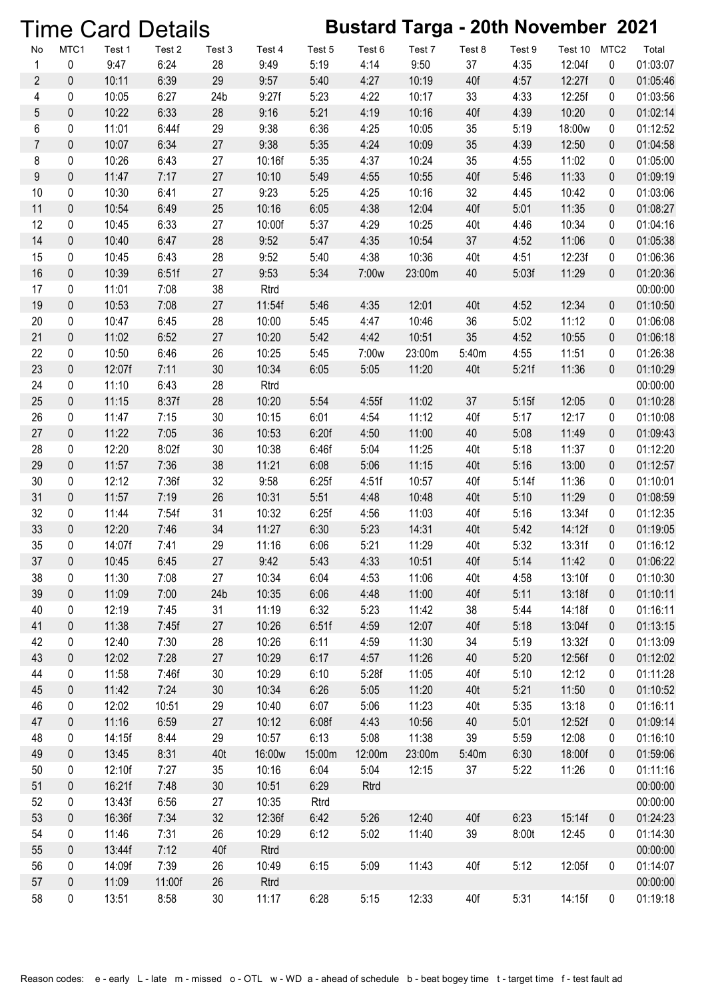|                  |           |                | <b>Time Card Details</b> |                       |                |              |              |                | <b>Bustard Targa - 20th November 2021</b> |              |                  |                  |                      |
|------------------|-----------|----------------|--------------------------|-----------------------|----------------|--------------|--------------|----------------|-------------------------------------------|--------------|------------------|------------------|----------------------|
| No               | MTC1      | Test 1         | Test 2                   | Test 3                | Test 4         | Test 5       | Test 6       | Test 7         | Test 8                                    | Test 9       | Test 10          | MTC <sub>2</sub> | Total                |
| $\mathbf{1}$     | 0         | 9:47           | 6:24                     | 28                    | 9:49           | 5:19         | 4:14         | 9:50           | 37                                        | 4:35         | 12:04f           | 0                | 01:03:07             |
| $\sqrt{2}$       | $\pmb{0}$ | 10:11          | 6:39                     | 29                    | 9:57           | 5:40         | 4:27         | 10:19          | 40f                                       | 4:57         | 12:27f           | $\pmb{0}$        | 01:05:46             |
| 4                | 0         | 10:05          | 6:27                     | 24 <sub>b</sub>       | 9:27f          | 5:23         | 4:22         | 10:17          | 33                                        | 4:33         | 12:25f           | 0                | 01:03:56             |
| 5                | $\pmb{0}$ | 10:22          | 6:33                     | 28                    | 9:16           | 5:21         | 4:19         | 10:16          | 40f                                       | 4:39         | 10:20            | 0                | 01:02:14             |
| 6                | 0         | 11:01          | 6:44f                    | 29                    | 9:38           | 6:36         | 4:25         | 10:05          | 35                                        | 5:19         | 18:00w           | 0                | 01:12:52             |
| $\boldsymbol{7}$ | $\pmb{0}$ | 10:07          | 6:34                     | 27                    | 9:38           | 5:35         | 4:24         | 10:09          | 35                                        | 4:39         | 12:50            | $\pmb{0}$        | 01:04:58             |
| 8                | 0         | 10:26          | 6:43                     | $27\,$                | 10:16f         | 5:35         | 4:37         | 10:24          | 35                                        | 4:55         | 11:02            | 0                | 01:05:00             |
| $\boldsymbol{9}$ | $\pmb{0}$ | 11:47          | 7:17                     | 27                    | 10:10          | 5:49         | 4:55         | 10:55          | 40f                                       | 5:46         | 11:33            | $\pmb{0}$        | 01:09:19             |
| 10               | 0         | 10:30          | 6:41                     | 27                    | 9:23           | 5:25         | 4:25         | 10:16          | 32                                        | 4:45         | 10:42            | 0                | 01:03:06             |
| 11               | $\pmb{0}$ | 10:54          | 6:49                     | 25                    | 10:16          | 6:05         | 4:38         | 12:04          | 40f                                       | 5:01         | 11:35            | $\pmb{0}$        | 01:08:27             |
| 12               | 0         | 10:45          | 6:33                     | 27                    | 10:00f         | 5:37         | 4:29         | 10:25          | 40t                                       | 4:46         | 10:34            | 0                | 01:04:16             |
| 14               | $\pmb{0}$ | 10:40          | 6:47                     | 28                    | 9:52           | 5:47         | 4:35         | 10:54          | 37                                        | 4:52         | 11:06            | 0                | 01:05:38             |
| 15               | 0         | 10:45          | 6:43                     | 28                    | 9:52           | 5:40         | 4:38         | 10:36          | 40t                                       | 4:51         | 12:23f           | 0                | 01:06:36             |
| 16               | $\pmb{0}$ | 10:39          | 6:51f                    | 27                    | 9:53           | 5:34         | 7:00w        | 23:00m         | 40                                        | 5:03f        | 11:29            | $\pmb{0}$        | 01:20:36             |
| 17               | 0         | 11:01          | 7:08                     | 38                    | Rtrd           |              |              |                |                                           |              |                  |                  | 00:00:00             |
| 19               | $\pmb{0}$ | 10:53          | 7:08                     | 27                    | 11:54f         | 5:46         | 4:35         | 12:01          | 40t                                       | 4:52         | 12:34            | $\boldsymbol{0}$ | 01:10:50             |
| 20               | 0         | 10:47          | 6:45                     | 28                    | 10:00          | 5:45         | 4:47         | 10:46          | 36                                        | 5:02         | 11:12            | 0                | 01:06:08             |
| 21               | $\pmb{0}$ | 11:02          | 6:52                     | 27                    | 10:20          | 5:42         | 4:42         | 10:51          | 35                                        | 4:52         | 10:55            | $\pmb{0}$        | 01:06:18             |
| 22               | 0         | 10:50          | 6:46                     | 26                    | 10:25          | 5:45         | 7:00w        | 23:00m         | 5:40m                                     | 4:55         | 11:51            | 0                | 01:26:38             |
| 23               | $\pmb{0}$ | 12:07f         | 7:11                     | 30                    | 10:34          | 6:05         | 5:05         | 11:20          | 40t                                       | 5:21f        | 11:36            | $\pmb{0}$        | 01:10:29             |
| 24               | 0         | 11:10          | 6:43                     | 28                    | Rtrd           |              |              |                |                                           |              |                  |                  | 00:00:00             |
| 25               | $\pmb{0}$ | 11:15          | 8:37f                    | 28                    | 10:20          | 5:54         | 4:55f        | 11:02          | 37                                        | 5:15f        | 12:05            | $\boldsymbol{0}$ | 01:10:28             |
| 26               | 0         | 11:47          | 7:15                     | 30                    | 10:15          | 6:01         | 4:54         | 11:12          | 40f                                       | 5:17         | 12:17            | 0                | 01:10:08             |
| 27               | $\pmb{0}$ | 11:22          | 7:05                     | 36                    | 10:53          | 6:20f        | 4:50         | 11:00          | 40                                        | 5:08         | 11:49            | $\pmb{0}$        | 01:09:43             |
| 28               | 0         | 12:20          | 8:02f                    | 30                    | 10:38          | 6:46f        | 5:04         | 11:25          | 40t                                       | 5:18         | 11:37            | 0                | 01:12:20             |
| 29               | $\pmb{0}$ | 11:57          | 7:36                     | 38                    | 11:21          | 6:08         | 5:06         | 11:15          | 40t                                       | 5:16         | 13:00            | $\pmb{0}$        | 01:12:57             |
| 30               | 0         | 12:12          | 7:36f                    | 32                    | 9:58           | 6:25f        | 4:51f        | 10:57          | 40f                                       | 5:14f        | 11:36            | 0                | 01:10:01             |
| 31               | $\pmb{0}$ | 11:57          | 7:19                     | 26                    | 10:31          | 5:51         | 4:48         | 10:48          | 40t                                       | 5:10         | 11:29            | 0                | 01:08:59             |
| 32               | 0         | 11:44          | 7:54f                    | 31                    | 10:32          | 6:25f        | 4:56         | 11:03          | 40f                                       | 5:16         | 13:34f           | 0                | 01:12:35             |
| 33               | $\pmb{0}$ | 12:20          | 7:46                     | 34                    | 11:27          | 6:30         | 5:23         | 14:31          | 40t                                       | 5:42         | 14:12f           | $\pmb{0}$        | 01:19:05             |
| 35               | 0         | 14:07f         | 7:41                     | 29                    | 11:16          | 6:06         | 5:21         | 11:29          | 40t                                       | 5:32         | 13:31f           | 0                | 01:16:12             |
| 37               | 0         | 10:45<br>11:30 | 6:45                     | 27                    | 9:42           | 5:43         | 4:33         | 10:51          | 40f                                       | 5:14         | 11:42            | 0                | 01:06:22             |
| 38<br>39         | 0         | 11:09          | 7:08                     | 27<br>24 <sub>b</sub> | 10:34          | 6:04         | 4:53         | 11:06<br>11:00 | 40t                                       | 4:58         | 13:10f           | 0                | 01:10:30             |
| 40               | 0<br>0    | 12:19          | 7:00<br>7:45             | 31                    | 10:35<br>11:19 | 6:06<br>6:32 | 4:48<br>5:23 | 11:42          | 40f<br>38                                 | 5:11<br>5:44 | 13:18f<br>14:18f | 0                | 01:10:11             |
| 41               | 0         | 11:38          | 7:45f                    | 27                    | 10:26          | 6:51f        | 4:59         | 12:07          | 40f                                       | 5:18         | 13:04f           | 0<br>0           | 01:16:11<br>01:13:15 |
| 42               | 0         | 12:40          | 7:30                     | 28                    | 10:26          | 6:11         | 4:59         | 11:30          | 34                                        | 5:19         | 13:32f           | 0                | 01:13:09             |
| 43               | $\pmb{0}$ | 12:02          | 7:28                     | 27                    | 10:29          | 6:17         | 4:57         | 11:26          | 40                                        | 5:20         | 12:56f           | 0                | 01:12:02             |
| 44               | 0         | 11:58          | 7:46f                    | 30                    | 10:29          | 6:10         | 5:28f        | 11:05          | 40f                                       | 5:10         | 12:12            | 0                | 01:11:28             |
| 45               | 0         | 11:42          | 7:24                     | 30                    | 10:34          | 6:26         | 5:05         | 11:20          | 40t                                       | 5:21         | 11:50            | 0                | 01:10:52             |
| 46               | 0         | 12:02          | 10:51                    | 29                    | 10:40          | 6:07         | 5:06         | 11:23          | 40t                                       | 5:35         | 13:18            | 0                | 01:16:11             |
| 47               | 0         | 11:16          | 6:59                     | 27                    | 10:12          | 6:08f        | 4:43         | 10:56          | 40                                        | 5:01         | 12:52f           | $\boldsymbol{0}$ | 01:09:14             |
| 48               | 0         | 14:15f         | 8:44                     | 29                    | 10:57          | 6:13         | 5:08         | 11:38          | 39                                        | 5:59         | 12:08            | 0                | 01:16:10             |
| 49               | 0         | 13:45          | 8:31                     | 40t                   | 16:00w         | 15:00m       | 12:00m       | 23:00m         | 5:40m                                     | 6:30         | 18:00f           | 0                | 01:59:06             |
| 50               | 0         | 12:10f         | 7:27                     | 35                    | 10:16          | 6:04         | 5:04         | 12:15          | 37                                        | 5:22         | 11:26            | 0                | 01:11:16             |
| 51               | 0         | 16:21f         | 7:48                     | 30                    | 10:51          | 6:29         | Rtrd         |                |                                           |              |                  |                  | 00:00:00             |
| 52               | 0         | 13:43f         | 6:56                     | 27                    | 10:35          | Rtrd         |              |                |                                           |              |                  |                  | 00:00:00             |
| 53               | 0         | 16:36f         | 7:34                     | 32                    | 12:36f         | 6:42         | 5:26         | 12:40          | 40f                                       | 6:23         | 15:14f           | 0                | 01:24:23             |
| 54               | 0         | 11:46          | 7:31                     | 26                    | 10:29          | 6:12         | 5:02         | 11:40          | 39                                        | 8:00t        | 12:45            | 0                | 01:14:30             |
| 55               | $\pmb{0}$ | 13:44f         | 7:12                     | 40f                   | Rtrd           |              |              |                |                                           |              |                  |                  | 00:00:00             |
| 56               | 0         | 14:09f         | 7:39                     | 26                    | 10:49          | 6:15         | 5:09         | 11:43          | 40f                                       | 5:12         | 12:05f           | $\pmb{0}$        | 01:14:07             |
| 57               | 0         | 11:09          | 11:00f                   | 26                    | <b>Rtrd</b>    |              |              |                |                                           |              |                  |                  | 00:00:00             |
| 58               | 0         | 13:51          | 8:58                     | 30                    | 11:17          | 6:28         | 5:15         | 12:33          | 40f                                       | 5:31         | 14:15f           | $\pmb{0}$        | 01:19:18             |
|                  |           |                |                          |                       |                |              |              |                |                                           |              |                  |                  |                      |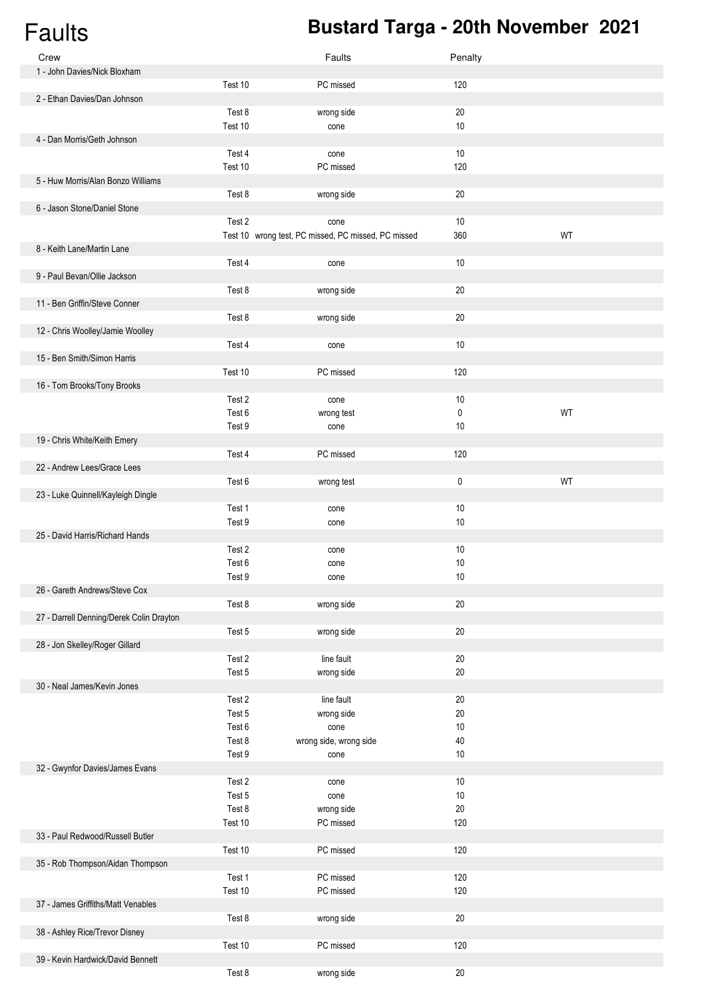# Faults **Bustard Targa - 20th November 2021**

| Crew                                     |         | Faults                                              | Penalty |    |
|------------------------------------------|---------|-----------------------------------------------------|---------|----|
| 1 - John Davies/Nick Bloxham             |         |                                                     |         |    |
|                                          | Test 10 | PC missed                                           | 120     |    |
| 2 - Ethan Davies/Dan Johnson             |         |                                                     |         |    |
|                                          | Test 8  | wrong side                                          | 20      |    |
|                                          | Test 10 | cone                                                | $10$    |    |
| 4 - Dan Morris/Geth Johnson              |         |                                                     |         |    |
|                                          | Test 4  | cone                                                | 10      |    |
|                                          | Test 10 | PC missed                                           | 120     |    |
| 5 - Huw Morris/Alan Bonzo Williams       |         |                                                     |         |    |
|                                          | Test 8  | wrong side                                          | 20      |    |
| 6 - Jason Stone/Daniel Stone             |         |                                                     |         |    |
|                                          | Test 2  | cone                                                | $10$    |    |
|                                          |         | Test 10 wrong test, PC missed, PC missed, PC missed | 360     | WT |
| 8 - Keith Lane/Martin Lane               |         |                                                     |         |    |
|                                          | Test 4  | cone                                                | $10$    |    |
| 9 - Paul Bevan/Ollie Jackson             |         |                                                     |         |    |
|                                          | Test 8  | wrong side                                          | $20\,$  |    |
| 11 - Ben Griffin/Steve Conner            |         |                                                     |         |    |
|                                          |         |                                                     |         |    |
|                                          | Test 8  | wrong side                                          | $20\,$  |    |
| 12 - Chris Woolley/Jamie Woolley         |         |                                                     |         |    |
|                                          | Test 4  | cone                                                | $10$    |    |
| 15 - Ben Smith/Simon Harris              |         |                                                     |         |    |
|                                          | Test 10 | PC missed                                           | 120     |    |
| 16 - Tom Brooks/Tony Brooks              |         |                                                     |         |    |
|                                          | Test 2  | cone                                                | 10      |    |
|                                          | Test 6  | wrong test                                          | 0       | WT |
|                                          | Test 9  | cone                                                | 10      |    |
| 19 - Chris White/Keith Emery             |         |                                                     |         |    |
|                                          | Test 4  | PC missed                                           | 120     |    |
| 22 - Andrew Lees/Grace Lees              |         |                                                     |         |    |
|                                          | Test 6  | wrong test                                          | 0       | WT |
| 23 - Luke Quinnell/Kayleigh Dingle       |         |                                                     |         |    |
|                                          | Test 1  | cone                                                | $10$    |    |
|                                          | Test 9  | cone                                                | 10      |    |
| 25 - David Harris/Richard Hands          |         |                                                     |         |    |
|                                          | Test 2  | cone                                                | 10      |    |
|                                          | Test 6  | cone                                                | 10      |    |
|                                          | Test 9  | cone                                                | 10      |    |
| 26 - Gareth Andrews/Steve Cox            |         |                                                     |         |    |
|                                          | Test 8  | wrong side                                          | 20      |    |
| 27 - Darrell Denning/Derek Colin Drayton |         |                                                     |         |    |
|                                          | Test 5  | wrong side                                          | $20\,$  |    |
|                                          |         |                                                     |         |    |
| 28 - Jon Skelley/Roger Gillard           | Test 2  | line fault                                          | $20\,$  |    |
|                                          |         |                                                     |         |    |
|                                          | Test 5  | wrong side                                          | $20\,$  |    |
| 30 - Neal James/Kevin Jones              |         |                                                     |         |    |
|                                          | Test 2  | line fault                                          | $20\,$  |    |
|                                          | Test 5  | wrong side                                          | 20      |    |
|                                          | Test 6  | cone                                                | 10      |    |
|                                          | Test 8  | wrong side, wrong side                              | 40      |    |
|                                          | Test 9  | cone                                                | $10$    |    |
| 32 - Gwynfor Davies/James Evans          |         |                                                     |         |    |
|                                          | Test 2  | cone                                                | 10      |    |
|                                          | Test 5  | cone                                                | 10      |    |
|                                          | Test 8  | wrong side                                          | 20      |    |
|                                          | Test 10 | PC missed                                           | 120     |    |
| 33 - Paul Redwood/Russell Butler         |         |                                                     |         |    |
|                                          | Test 10 | PC missed                                           | 120     |    |
| 35 - Rob Thompson/Aidan Thompson         |         |                                                     |         |    |
|                                          | Test 1  | PC missed                                           | 120     |    |
|                                          | Test 10 | PC missed                                           | 120     |    |
| 37 - James Griffiths/Matt Venables       |         |                                                     |         |    |
|                                          | Test 8  | wrong side                                          | $20\,$  |    |
| 38 - Ashley Rice/Trevor Disney           |         |                                                     |         |    |
|                                          | Test 10 | PC missed                                           | 120     |    |
| 39 - Kevin Hardwick/David Bennett        |         |                                                     |         |    |
|                                          | Test 8  | wrong side                                          | $20\,$  |    |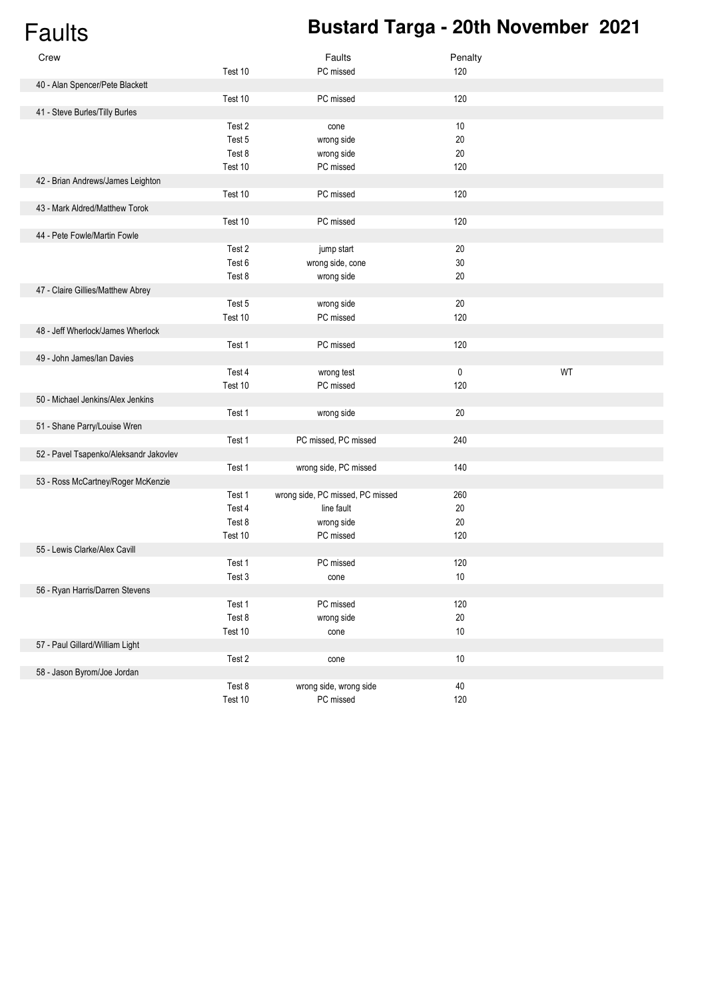# Faults **Bustard Targa - 20th November 2021**

| Crew                                   |         | Faults                           | Penalty |    |
|----------------------------------------|---------|----------------------------------|---------|----|
|                                        | Test 10 | PC missed                        | 120     |    |
| 40 - Alan Spencer/Pete Blackett        |         |                                  |         |    |
|                                        | Test 10 | PC missed                        | 120     |    |
| 41 - Steve Burles/Tilly Burles         |         |                                  |         |    |
|                                        | Test 2  | cone                             | $10$    |    |
|                                        | Test 5  | wrong side                       | 20      |    |
|                                        | Test 8  | wrong side                       | $20\,$  |    |
|                                        | Test 10 | PC missed                        | 120     |    |
| 42 - Brian Andrews/James Leighton      |         |                                  |         |    |
|                                        | Test 10 | PC missed                        | 120     |    |
| 43 - Mark Aldred/Matthew Torok         |         |                                  |         |    |
|                                        | Test 10 | PC missed                        | 120     |    |
| 44 - Pete Fowle/Martin Fowle           |         |                                  |         |    |
|                                        | Test 2  | jump start                       | $20\,$  |    |
|                                        | Test 6  | wrong side, cone                 | 30      |    |
|                                        | Test 8  | wrong side                       | 20      |    |
| 47 - Claire Gillies/Matthew Abrey      |         |                                  |         |    |
|                                        | Test 5  | wrong side                       | 20      |    |
|                                        | Test 10 | PC missed                        | 120     |    |
| 48 - Jeff Wherlock/James Wherlock      |         |                                  |         |    |
|                                        | Test 1  | PC missed                        | 120     |    |
| 49 - John James/Ian Davies             |         |                                  |         |    |
|                                        | Test 4  | wrong test                       | 0       | WT |
|                                        | Test 10 | PC missed                        | 120     |    |
| 50 - Michael Jenkins/Alex Jenkins      |         |                                  |         |    |
|                                        | Test 1  | wrong side                       | $20\,$  |    |
| 51 - Shane Parry/Louise Wren           |         |                                  |         |    |
|                                        | Test 1  | PC missed, PC missed             | 240     |    |
| 52 - Pavel Tsapenko/Aleksandr Jakovlev |         |                                  |         |    |
|                                        | Test 1  | wrong side, PC missed            | 140     |    |
| 53 - Ross McCartney/Roger McKenzie     |         |                                  |         |    |
|                                        | Test 1  | wrong side, PC missed, PC missed | 260     |    |
|                                        | Test 4  | line fault                       | 20      |    |
|                                        | Test 8  | wrong side                       | 20      |    |
|                                        | Test 10 | PC missed                        | 120     |    |
| 55 - Lewis Clarke/Alex Cavill          |         |                                  |         |    |
|                                        | Test 1  | PC missed                        | 120     |    |
|                                        | Test 3  | cone                             | $10$    |    |
| 56 - Ryan Harris/Darren Stevens        |         |                                  |         |    |
|                                        | Test 1  | PC missed                        | 120     |    |
|                                        | Test 8  | wrong side                       | $20\,$  |    |
|                                        | Test 10 | cone                             | $10\,$  |    |
| 57 - Paul Gillard/William Light        |         |                                  |         |    |
|                                        | Test 2  | cone                             | $10\,$  |    |
| 58 - Jason Byrom/Joe Jordan            |         |                                  |         |    |
|                                        | Test 8  | wrong side, wrong side           | $40\,$  |    |
|                                        | Test 10 | PC missed                        | 120     |    |
|                                        |         |                                  |         |    |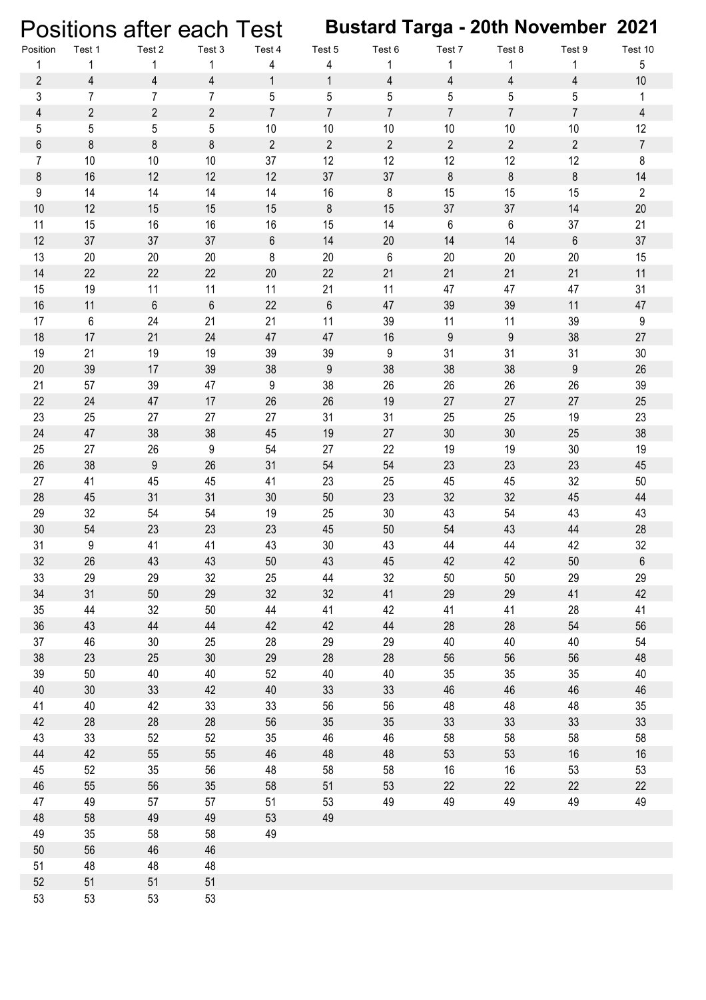Positions after each Test **Bustard Targa - 20th November 2021**

| Position            | Test 1                       | Test 2                | Test 3         | Test 4            | Test 5            | Test 6         | Test 7         | Test 8           | Test 9           | Test 10        |
|---------------------|------------------------------|-----------------------|----------------|-------------------|-------------------|----------------|----------------|------------------|------------------|----------------|
| 1<br>$\overline{2}$ | 1<br>$\overline{\mathbf{4}}$ | 1<br>$\overline{4}$   | 1<br>4         | 4<br>$\mathbf{1}$ | 4<br>$\mathbf{1}$ | 1<br>4         | 1<br>4         | 1<br>4           | 4                | 5<br>$10$      |
| 3                   | $\overline{7}$               | $\overline{7}$        | $\overline{7}$ | 5                 | 5                 | 5              | 5              | 5                | 5                | 1              |
| $\overline{4}$      | $\mathbf{2}$                 | $\overline{2}$        | $\mathbf{2}$   | $\overline{7}$    | $\overline{7}$    | $\overline{7}$ | $\overline{7}$ | $\overline{7}$   | $\overline{7}$   | 4              |
| 5                   | 5                            | 5                     | 5              | 10                | 10                | 10             | 10             | $10$             | 10               | 12             |
| $\,6$               | 8                            | 8                     | 8              | $\overline{2}$    | $\overline{2}$    | $\overline{2}$ | $\overline{2}$ | $\mathbf{2}$     | $\overline{2}$   | $\overline{7}$ |
| $\overline{7}$      | 10                           | 10                    | $10$           | 37                | 12                | 12             | 12             | 12               | 12               | $\bf 8$        |
| 8                   | 16                           | 12                    | 12             | 12                | 37                | 37             | 8              | 8                | 8                | 14             |
| 9                   | 14                           | 14                    | 14             | 14                | 16                | 8              | 15             | 15               | 15               | $\overline{2}$ |
| 10                  | 12                           | 15                    | 15             | 15                | $\bf 8$           | 15             | 37             | 37               | 14               | 20             |
| 11                  | 15                           | 16                    | 16             | 16                | 15                | 14             | 6              | $\,6\,$          | 37               | 21             |
| 12                  | 37                           | 37                    | 37             | $\,6\,$           | 14                | 20             | 14             | 14               | $\,6\,$          | 37             |
| 13                  | 20                           | 20                    | 20             | 8                 | 20                | 6              | 20             | 20               | 20               | 15             |
| 14                  | 22                           | 22                    | 22             | 20                | 22                | 21             | 21             | 21               | 21               | 11             |
| 15                  | 19                           | 11                    | 11             | 11                | 21                | 11             | 47             | 47               | 47               | 31             |
| 16                  | 11                           | $6\phantom{1}$        | $\,6$          | 22                | $6\phantom{1}$    | 47             | 39             | 39               | 11               | 47             |
| 17                  | 6                            | 24                    | 21             | 21                | 11                | 39             | 11             | 11               | 39               | 9              |
| 18                  | 17                           | 21                    | 24             | 47                | 47                | 16             | 9              | $\boldsymbol{9}$ | 38               | 27             |
| 19                  | 21                           | 19                    | 19             | 39                | 39                | 9              | 31             | 31               | 31               | $30\,$         |
| 20                  | 39                           | 17                    | 39             | 38                | $\boldsymbol{9}$  | 38             | 38             | 38               | $\boldsymbol{9}$ | 26             |
| 21                  | 57                           | 39                    | 47             | 9                 | 38                | 26             | 26             | 26               | 26               | 39             |
| 22                  | 24                           | 47                    | 17             | 26                | 26                | 19             | 27             | 27               | 27               | 25             |
| 23                  | 25                           | 27                    | 27             | 27                | 31                | 31             | 25             | 25               | 19               | 23             |
| 24                  | 47                           | 38                    | 38             | 45                | 19                | 27             | 30             | 30               | 25               | 38             |
| 25                  | 27                           | 26                    | 9              | 54                | 27                | 22             | 19             | 19               | $30\,$           | 19             |
| 26                  | 38                           | $9\,$                 | 26             | 31                | 54                | 54             | 23             | 23               | 23               | 45             |
| 27                  | 41                           | 45                    | 45             | 41                | 23                | 25             | 45             | 45               | 32               | 50             |
| 28                  | 45                           | 31                    | 31             | 30                | 50                | 23             | 32             | 32               | 45               | 44             |
| 29                  | 32                           | 54                    | 54             | 19                | 25                | 30             | 43             | 54               | 43               | 43             |
| 30                  | 54                           | 23                    | 23             | 23                | 45                | 50             | 54             | 43               | 44               | 28             |
| 31                  | 9                            | 41                    | 41             | 43                | 30                | 43             | 44             | 44               | 42               | 32             |
| 32                  | 26                           | 43                    | 43             | 50                | 43                | 45             | 42             | 42               | 50               | 6              |
| 33                  | 29                           | 29                    | 32             | 25                | 44                | 32             | 50             | 50               | 29               | 29             |
| 34                  | 31                           | 50                    | 29             | 32                | 32                | 41             | 29             | 29               | 41               | 42             |
| 35                  | 44                           | 32                    | $50\,$         | 44                | 41                | 42             | 41             | 41               | 28               | 41             |
| 36                  | 43                           | 44                    | 44             | 42<br>28          | 42                | 44             | 28             | 28               | 54               | 56             |
| 37<br>38            | 46<br>23                     | 30 <sub>2</sub><br>25 | 25<br>$30\,$   | 29                | 29<br>28          | 29<br>28       | 40<br>56       | 40<br>56         | 40<br>56         | 54<br>48       |
| 39                  | 50                           | 40                    | 40             | 52                | 40                | 40             | 35             | $35\,$           | 35               | 40             |
| 40                  | 30                           | 33                    | 42             | 40                | 33                | 33             | 46             | 46               | 46               | 46             |
| 41                  | 40                           | 42                    | 33             | 33                | 56                | 56             | 48             | 48               | 48               | 35             |
| 42                  | 28                           | 28                    | 28             | 56                | 35                | 35             | 33             | 33               | 33               | 33             |
| 43                  | 33                           | 52                    | 52             | 35                | 46                | 46             | 58             | 58               | 58               | 58             |
| 44                  | 42                           | 55                    | 55             | 46                | 48                | 48             | 53             | 53               | 16               | 16             |
| 45                  | 52                           | 35                    | 56             | 48                | 58                | 58             | 16             | 16               | 53               | 53             |
| 46                  | 55                           | 56                    | $35\,$         | 58                | 51                | 53             | 22             | 22               | 22               | 22             |
| 47                  | 49                           | 57                    | 57             | 51                | 53                | 49             | 49             | 49               | 49               | 49             |
| 48                  | 58                           | 49                    | 49             | 53                | 49                |                |                |                  |                  |                |
| 49                  | 35                           | 58                    | 58             | 49                |                   |                |                |                  |                  |                |
| $50\,$              | 56                           | 46                    | 46             |                   |                   |                |                |                  |                  |                |
| 51                  | 48                           | 48                    | 48             |                   |                   |                |                |                  |                  |                |
| 52                  | 51                           | 51                    | 51             |                   |                   |                |                |                  |                  |                |
| 53                  | 53                           | 53                    | 53             |                   |                   |                |                |                  |                  |                |